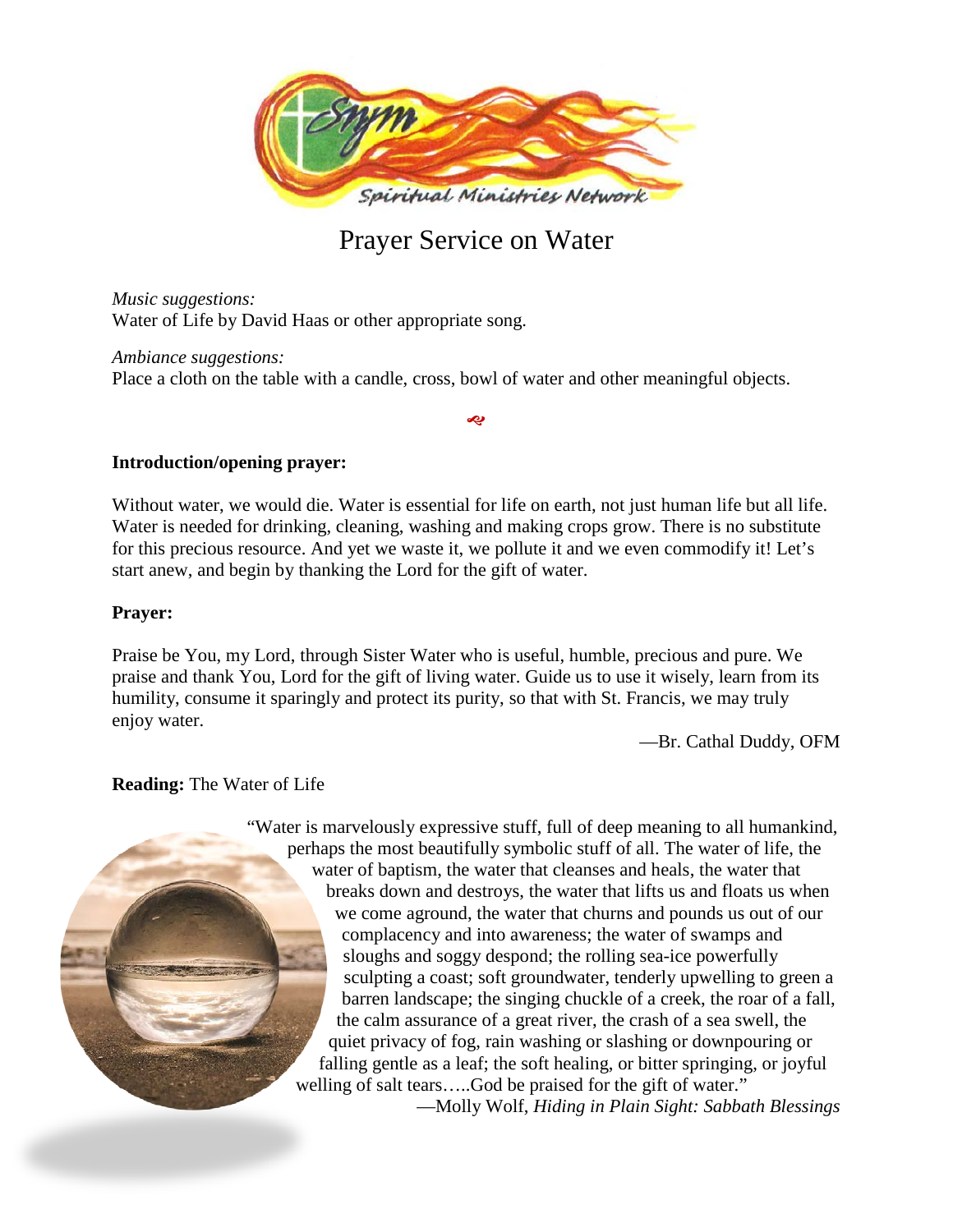

# Prayer Service on Water

*Music suggestions:* Water of Life by David Haas or other appropriate song.

*Ambiance suggestions:* Place a cloth on the table with a candle, cross, bowl of water and other meaningful objects.

## **Introduction/opening prayer:**

Without water, we would die. Water is essential for life on earth, not just human life but all life. Water is needed for drinking, cleaning, washing and making crops grow. There is no substitute for this precious resource. And yet we waste it, we pollute it and we even commodify it! Let's start anew, and begin by thanking the Lord for the gift of water.

رجہ

#### **Prayer:**

Praise be You, my Lord, through Sister Water who is useful, humble, precious and pure. We praise and thank You, Lord for the gift of living water. Guide us to use it wisely, learn from its humility, consume it sparingly and protect its purity, so that with St. Francis, we may truly enjoy water.

—Br. Cathal Duddy, OFM

## **Reading:** The Water of Life

"Water is marvelously expressive stuff, full of deep meaning to all humankind, perhaps the most beautifully symbolic stuff of all. The water of life, the water of baptism, the water that cleanses and heals, the water that breaks down and destroys, the water that lifts us and floats us when we come aground, the water that churns and pounds us out of our complacency and into awareness; the water of swamps and sloughs and soggy despond; the rolling sea-ice powerfully sculpting a coast; soft groundwater, tenderly upwelling to green a barren landscape; the singing chuckle of a creek, the roar of a fall, the calm assurance of a great river, the crash of a sea swell, the quiet privacy of fog, rain washing or slashing or downpouring or falling gentle as a leaf; the soft healing, or bitter springing, or joyful welling of salt tears.....God be praised for the gift of water." —Molly Wolf, *Hiding in Plain Sight: Sabbath Blessings*